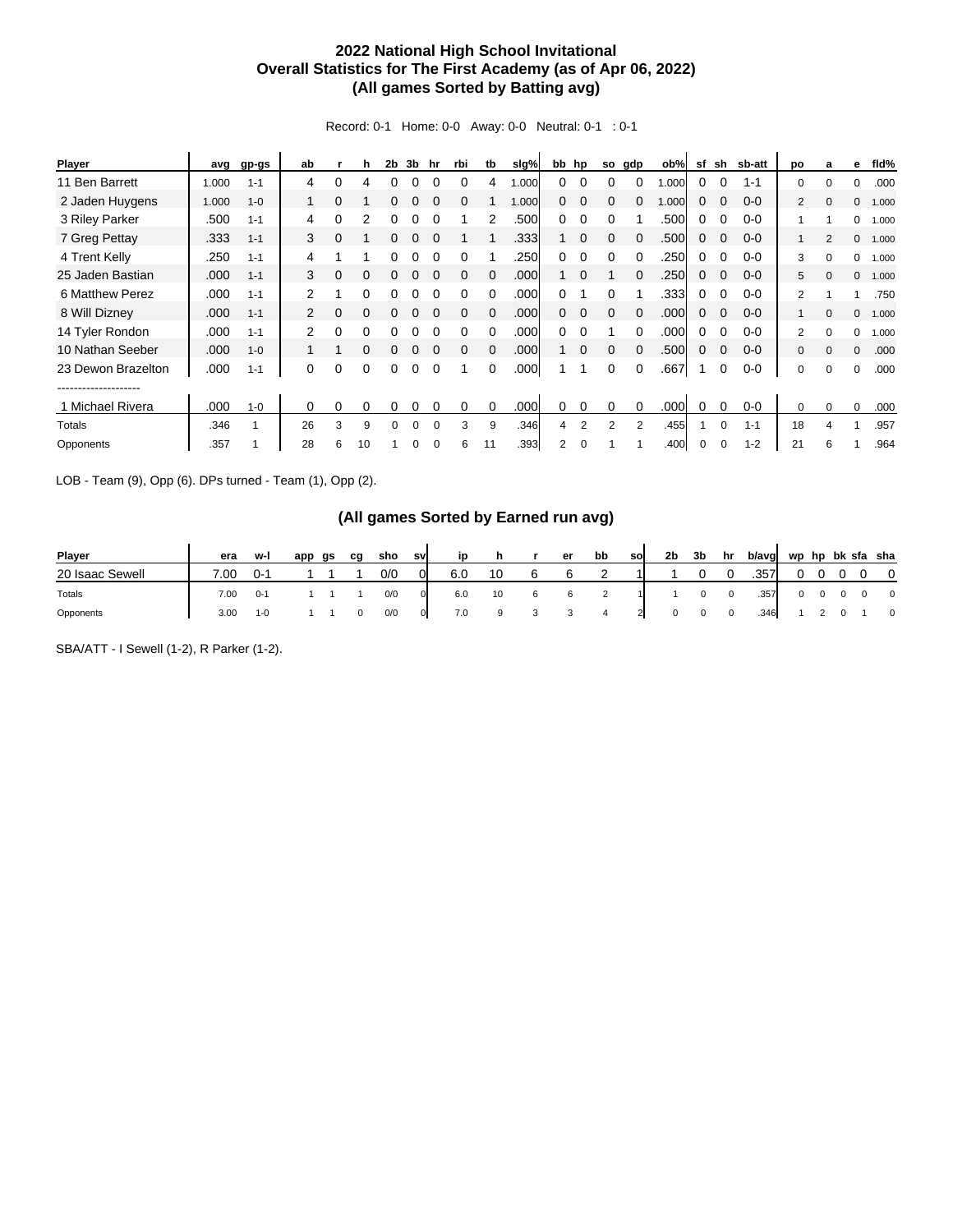## **2022 National High School Invitational Overall Statistics for The First Academy (as of Apr 06, 2022) (All games Sorted by Batting avg)**

Record: 0-1 Home: 0-0 Away: 0-0 Neutral: 0-1 : 0-1

| Player               | avg   | gp-gs   | ab             |   | h        | 2 <sub>b</sub> | 3b | hr       | rbi      | tb       | slg%  |              | bb hp       | so       | gdp      | ob%  | sf | sh       | sb-att  | po             | a        | е            | fld%  |
|----------------------|-------|---------|----------------|---|----------|----------------|----|----------|----------|----------|-------|--------------|-------------|----------|----------|------|----|----------|---------|----------------|----------|--------------|-------|
| 11 Ben Barrett       | 1.000 | $1 - 1$ | 4              | 0 | 4        | 0              | 0  |          |          | 4        | 1.000 | $\Omega$     | $\Omega$    | 0        | 0        | .000 | 0  |          | $1 - 1$ | 0              | $\Omega$ | 0            | .000  |
| 2 Jaden Huygens      | 1.000 | $1 - 0$ |                | 0 |          | 0              |    | $\Omega$ | 0        |          | 1.000 | 0            | 0           | $\Omega$ |          | .000 | 0  |          | $0 - 0$ | $\overline{2}$ | $\Omega$ | $\mathbf{0}$ | 1.000 |
| 3 Riley Parker       | .500  | $1 - 1$ | 4              | 0 | 2        |                |    |          |          | 2        | .500  | 0            | $\Omega$    | $\Omega$ |          | .500 | 0  |          | $0 - 0$ |                |          | $\Omega$     | 1.000 |
| 7 Greg Pettay        | .333  | $1 - 1$ | 3              | 0 |          |                | 0  |          |          |          | .333  |              | $\mathbf 0$ | 0        | $\Omega$ | .500 | 0  |          | $0 - 0$ |                | 2        | $\mathbf{0}$ | 1.000 |
| 4 Trent Kelly        | .250  | $1 - 1$ | 4              |   |          |                |    |          | $\Omega$ |          | .250  | 0            | $\Omega$    | $\Omega$ | $\Omega$ | .250 | 0  |          | $0 - 0$ | 3              | $\Omega$ | $\Omega$     | 1.000 |
| 25 Jaden Bastian     | .000  | $1 - 1$ | 3              | 0 | 0        |                |    |          | $\Omega$ |          | .000  |              | $\Omega$    |          |          | .250 | 0  |          | $0 - 0$ | 5              | $\Omega$ | $\mathbf{0}$ | 1.000 |
| 6 Matthew Perez      | .000  | $1 - 1$ | 2              |   | 0        |                |    |          | 0        |          | .000  | 0            |             | 0        |          | .333 | 0  |          | $0 - 0$ | 2              |          |              | .750  |
| 8 Will Dizney        | .000  | $1 - 1$ | $\mathbf{2}$   | 0 | $\Omega$ | 0              | 0  | $\Omega$ | $\Omega$ | $\Omega$ | .000  | $\mathbf{0}$ | $\Omega$    | $\Omega$ | $\Omega$ | .000 | 0  | $\Omega$ | $0 - 0$ | 1              | $\Omega$ | $\mathbf{0}$ | 1.000 |
| 14 Tyler Rondon      | .000  | $1 - 1$ | $\overline{2}$ | 0 | 0        |                |    |          | $\Omega$ |          | .000  | 0            | $\Omega$    |          | $\Omega$ | .000 | 0  |          | $0 - 0$ | 2              | $\Omega$ | 0            | 1.000 |
| 10 Nathan Seeber     | .000  | $1 - 0$ |                |   | 0        | 0              |    |          | $\Omega$ | $\Omega$ | .000  |              | $\Omega$    | $\Omega$ | $\Omega$ | .500 | 0  | $\Omega$ | $0 - 0$ | $\Omega$       | $\Omega$ | $\Omega$     | .000  |
| 23 Dewon Brazelton   | .000  | $1 - 1$ | 0              | 0 | 0        | 0              | 0  | $\Omega$ |          | $\Omega$ | .000  |              |             | $\Omega$ | $\Omega$ | .667 |    | 0        | $0 - 0$ | 0              | $\Omega$ | $\Omega$     | .000  |
| -------------------- |       |         |                |   |          |                |    |          |          |          |       |              |             |          |          |      |    |          |         |                |          |              |       |
| 1 Michael Rivera     | .000  | $1 - 0$ | $\Omega$       | 0 | 0        | 0              | 0  |          | 0        | $\Omega$ | .000  | 0            | 0           | 0        | $\Omega$ | .000 | 0  |          | $0 - 0$ | 0              | $\Omega$ | $\Omega$     | .000  |
| Totals               | .346  |         | 26             | 3 | 9        | 0              | 0  | $\Omega$ | 3        | 9        | .346  | 4            | 2           | 2        | 2        | .455 |    | $\Omega$ | $1 - 1$ | 18             | 4        |              | .957  |
| Opponents            | .357  |         | 28             | 6 | 10       |                | 0  | 0        | 6        | 11       | .393  | 2            | 0           |          |          | .400 | 0  | $\Omega$ | $1 - 2$ | 21             | 6        |              | .964  |

LOB - Team (9), Opp (6). DPs turned - Team (1), Opp (2).

## **(All games Sorted by Earned run avg)**

| <b>Plaver</b>   | era         | w-l     | app | as | ca | sho | sv | in  |    | er | bb | sol | 2b | 3b | hr | b/avg | wp hp bk sfa sha |  |                |
|-----------------|-------------|---------|-----|----|----|-----|----|-----|----|----|----|-----|----|----|----|-------|------------------|--|----------------|
| 20 Isaac Sewell | $\cdot$ .00 | በ-1     |     |    |    | 0/0 |    | 6.0 | 10 |    |    |     |    |    |    | .357  |                  |  | $\Omega$       |
| Totals          | 7.00        | $0 -$   |     |    |    | 0/0 |    | 6.0 | 10 |    |    |     |    |    |    | .357  |                  |  | $\overline{0}$ |
| Opponents       | 3.00        | $1 - 0$ |     |    |    | 0/0 |    | 7.0 |    |    |    |     |    |    |    | .346  |                  |  | $\mathbf 0$    |

SBA/ATT - I Sewell (1-2), R Parker (1-2).